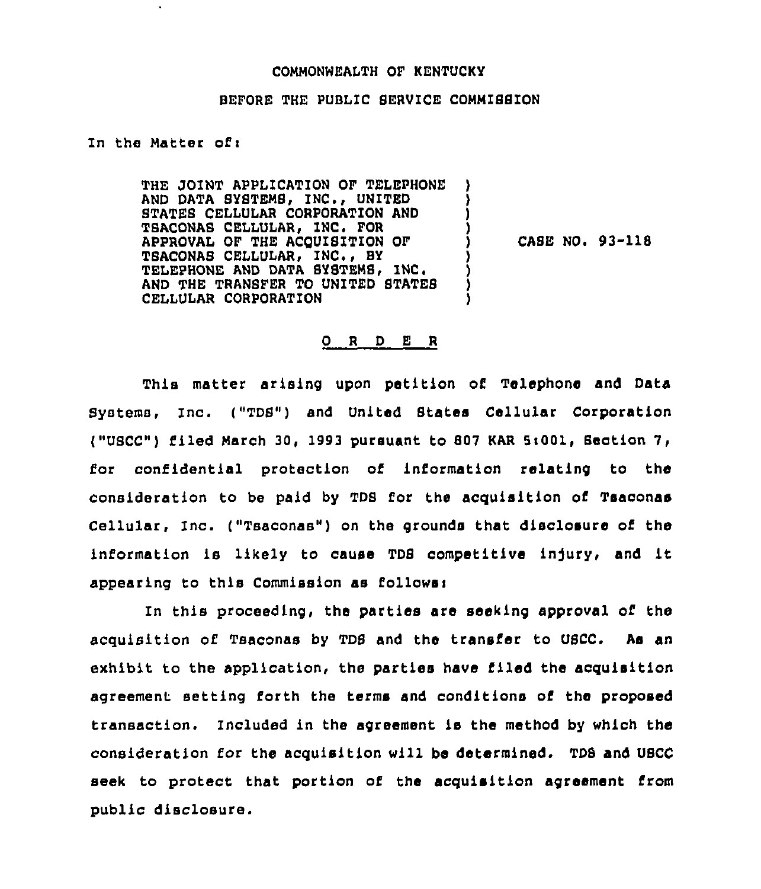## COMMONWEALTH OF KENTUCKY

## BEFORE THE PUBLIC SERVICE COMMISSION

## In the Matter of <sup>i</sup>

THE JOINT APPLICATION OF TELEPHONE AND DATA SYSTEMS, INC., UNITED STATES CELLULAR CORPORATION AND TSACONAB CELLULAR, INC, FOR APPROVAL OF THE ACQUISITION OF TSACONAS CELLULAR, INC., BY TELEPHONE AND DATA SYSTEMS. INC. AND THE TRANSFER TO UNITED STATES CELLULAR CORPORATION ) ) ) ) ) ) ) )

 $CASE NO. 93-118$ 

## 0 <sup>R</sup> <sup>D</sup> E <sup>R</sup>

This matter arising upon petition of Telephone and Data Systems, Inc. ("TDS") and United States Cellular Corporation ("USCC") filed March 30, 1993 pursuant to 807 KAR Si001, Section 7, for confidential protection of information relating to the consideration to be paid by TDS for the acquisition of Tsaconae Cellular, Inc. ("Tsaconas") on the grounds that disclosure of the information is likely to cause TDB competitive injury, and it appearing to this Commission as follows:

In this proceeding, the parties are seeking approval of the acquisition of Tsaconas by TDS and the transfer to USCC. As an exhibit to the application, the parties have filed the acquisition agreement setting forth the terms and conditions of the proposed transaction. Included in the agreement is the method by which the consideration for the acquisition will be determined. TDB and UBCC seek to protect that portion of the acquisition agreement from public disclosure.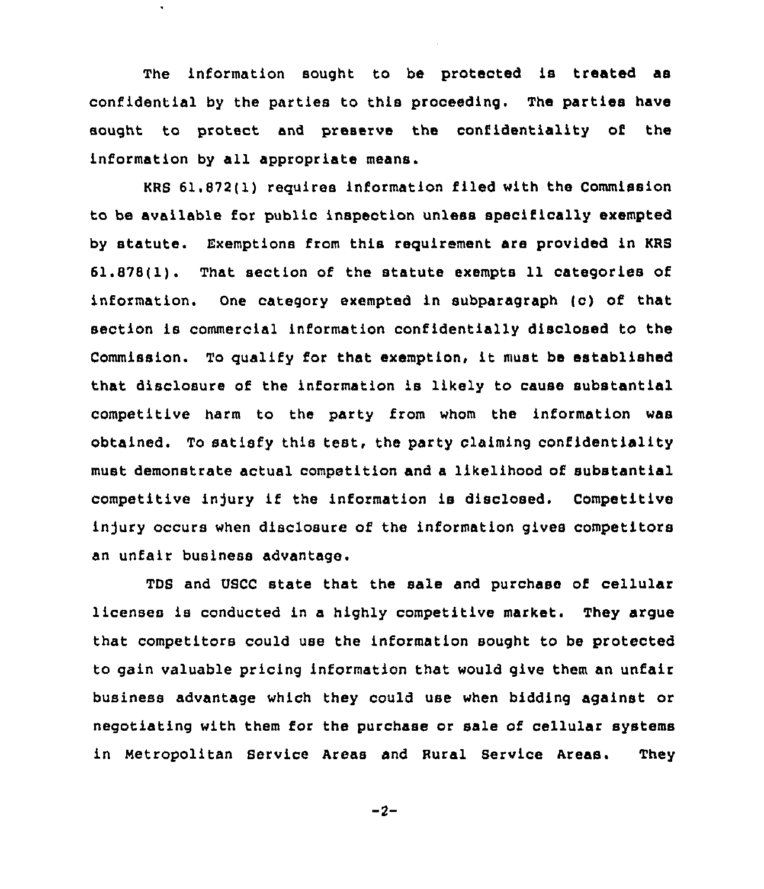The information sought to be protected is treated as confidential by the parties to this proceeding. The parties have sought to protect and preserve the confidentiality of the information by all appropriate means.

 $\tilde{\phantom{a}}$ 

KRS 61.872(1) requires information filed with the Commission to be available for public inspection unless specifically exempted by statute. Exemptions from this requirement are provided in KRS 61.878(1). That section of the statute exempts 11 categories of information. One category exempted in subparagraph (c) of that section is commercial information confidentially disclosed to the Commission. To qualify for that exemption, it must be established that disclosure of the information is likely to cause substantial competitive harm to the party from whom the information was obtained. To satisfy this test, the party claiming confidentiality must demonstrate actual competition and a likelihood of substantial competitive injury if the information is disclosed. Competitive injury occurs when disclosure of the information gives competitors an unfair business advantage.

TDS and USCC state that the sale and purchase of cellular licenses is conducted in a highly competitive market. They argue that competitors could use the information sought to be protected to gain valuable pricing information that would give them an unfair business advantage which they could use when bidding against or negotiating with them for the purchase or sale of cellular systems in Metropolitan Service Areas and Rural Service Areas. They

 $-2-$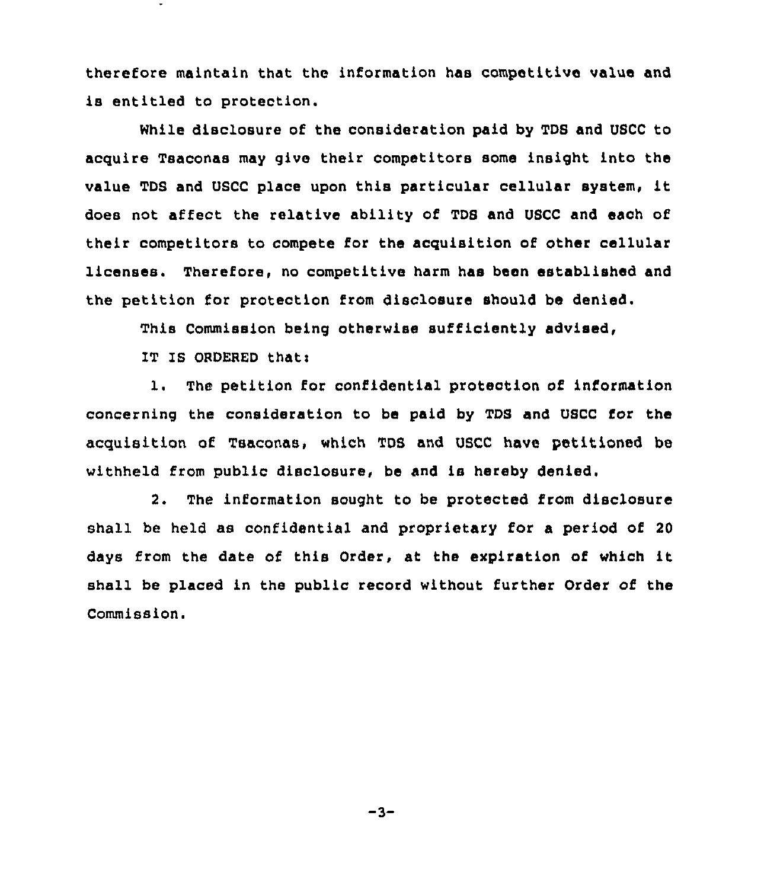therefore maintain that the information has competitive value and is entitled to protection.

While disclosure of the consideration paid by TDS and USCC to acquire Tsaconas may give their competitors some insight into the value TDS and USCC place upon this particular cellular system, it does not affect the relative ability of TDS and USCC and each of their competitors to compete for the acquisition of other cellular licenses. Therefore, no competitive harm has been established and the petition for protection from disclosure should be denied.

This Commission being otherwise sufficiently advised,

IT IS ORDERED that:

1. The petition for confidential proteotion of information concerning the consideration to be paid by TDS and USCC for the acquisition of Tsaconas, which TDS and USCC have petitioned be withheld from public disclosure, be and is hereby denied.

2. The information sought to be protected from disclosure shall be held as confidential and proprietary for a period of 20 days from the date of this Order, at the expiration of which it shall be placed in the public record without further Order of the Commission.

 $-3-$